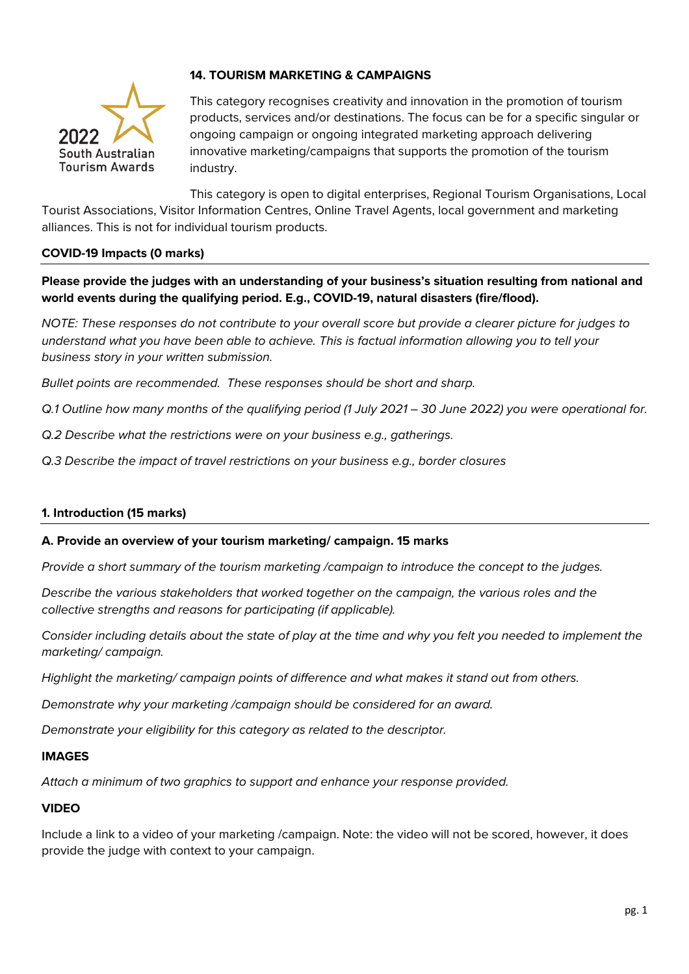

# **14. TOURISM MARKETING & CAMPAIGNS**

This category recognises creativity and innovation in the promotion of tourism products, services and/or destinations. The focus can be for a specific singular or ongoing campaign or ongoing integrated marketing approach delivering innovative marketing/campaigns that supports the promotion of the tourism industry.

This category is open to digital enterprises, Regional Tourism Organisations, Local Tourist Associations, Visitor Information Centres, Online Travel Agents, local government and marketing alliances. This is not for individual tourism products.

## **COVID-19 Impacts (0 marks)**

**Please provide the judges with an understanding of your business's situation resulting from national and world events during the qualifying period. E.g., COVID-19, natural disasters (fire/flood).**

*NOTE: These responses do not contribute to your overall score but provide a clearer picture for judges to understand what you have been able to achieve. This is factual information allowing you to tell your business story in your written submission.* 

*Bullet points are recommended. These responses should be short and sharp.*

*Q.1 Outline how many months of the qualifying period (1 July 2021 – 30 June 2022) you were operational for.*

*Q.2 Describe what the restrictions were on your business e.g., gatherings.*

*Q.3 Describe the impact of travel restrictions on your business e.g., border closures*

### **1. Introduction (15 marks)**

#### **A. Provide an overview of your tourism marketing/ campaign. 15 marks**

*Provide a short summary of the tourism marketing /campaign to introduce the concept to the judges.*

*Describe the various stakeholders that worked together on the campaign, the various roles and the collective strengths and reasons for participating (if applicable).*

*Consider including details about the state of play at the time and why you felt you needed to implement the marketing/ campaign.* 

*Highlight the marketing/ campaign points of difference and what makes it stand out from others.*

*Demonstrate why your marketing /campaign should be considered for an award.* 

*Demonstrate your eligibility for this category as related to the descriptor.* 

### **IMAGES**

*Attach a minimum of two graphics to support and enhance your response provided.* 

### **VIDEO**

Include a link to a video of your marketing /campaign. Note: the video will not be scored, however, it does provide the judge with context to your campaign.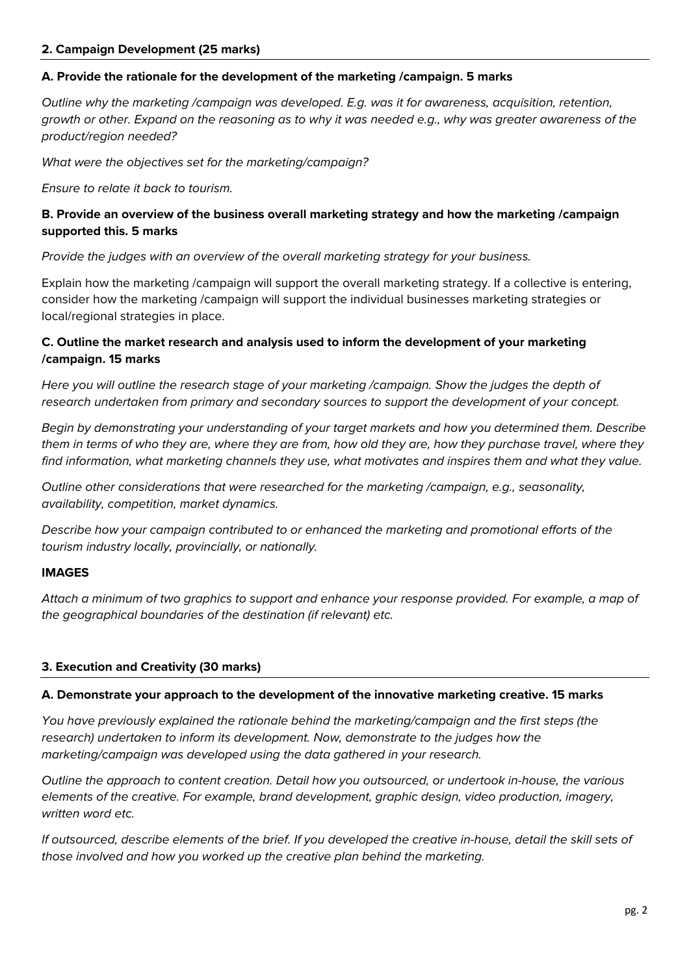#### **2. Campaign Development (25 marks)**

#### **A. Provide the rationale for the development of the marketing /campaign. 5 marks**

*Outline why the marketing /campaign was developed. E.g. was it for awareness, acquisition, retention, growth or other. Expand on the reasoning as to why it was needed e.g., why was greater awareness of the product/region needed?*

*What were the objectives set for the marketing/campaign?*

*Ensure to relate it back to tourism.* 

## **B. Provide an overview of the business overall marketing strategy and how the marketing /campaign supported this. 5 marks**

*Provide the judges with an overview of the overall marketing strategy for your business.* 

Explain how the marketing /campaign will support the overall marketing strategy. If a collective is entering, consider how the marketing /campaign will support the individual businesses marketing strategies or local/regional strategies in place.

# **C. Outline the market research and analysis used to inform the development of your marketing /campaign. 15 marks**

*Here you will outline the research stage of your marketing /campaign. Show the judges the depth of research undertaken from primary and secondary sources to support the development of your concept.* 

*Begin by demonstrating your understanding of your target markets and how you determined them. Describe them in terms of who they are, where they are from, how old they are, how they purchase travel, where they find information, what marketing channels they use, what motivates and inspires them and what they value.* 

*Outline other considerations that were researched for the marketing /campaign, e.g., seasonality, availability, competition, market dynamics.* 

*Describe how your campaign contributed to or enhanced the marketing and promotional efforts of the tourism industry locally, provincially, or nationally.*

### **IMAGES**

*Attach a minimum of two graphics to support and enhance your response provided. For example, a map of the geographical boundaries of the destination (if relevant) etc.* 

### **3. Execution and Creativity (30 marks)**

#### **A. Demonstrate your approach to the development of the innovative marketing creative. 15 marks**

*You have previously explained the rationale behind the marketing/campaign and the first steps (the research) undertaken to inform its development. Now, demonstrate to the judges how the marketing/campaign was developed using the data gathered in your research.* 

*Outline the approach to content creation. Detail how you outsourced, or undertook in-house, the various elements of the creative. For example, brand development, graphic design, video production, imagery, written word etc.* 

*If outsourced, describe elements of the brief. If you developed the creative in-house, detail the skill sets of those involved and how you worked up the creative plan behind the marketing.*